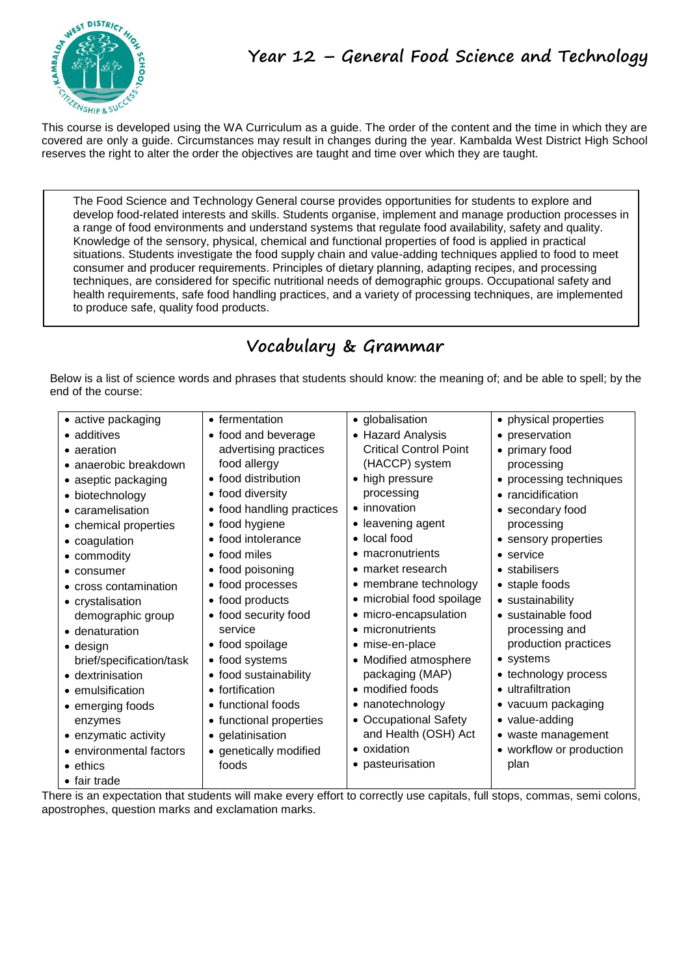

This course is developed using the WA Curriculum as a guide. The order of the content and the time in which they are covered are only a guide. Circumstances may result in changes during the year. Kambalda West District High School reserves the right to alter the order the objectives are taught and time over which they are taught.

The Food Science and Technology General course provides opportunities for students to explore and develop food-related interests and skills. Students organise, implement and manage production processes in a range of food environments and understand systems that regulate food availability, safety and quality. Knowledge of the sensory, physical, chemical and functional properties of food is applied in practical situations. Students investigate the food supply chain and value-adding techniques applied to food to meet consumer and producer requirements. Principles of dietary planning, adapting recipes, and processing techniques, are considered for specific nutritional needs of demographic groups. Occupational safety and health requirements, safe food handling practices, and a variety of processing techniques, are implemented to produce safe, quality food products.

# **Vocabulary & Grammar**

Below is a list of science words and phrases that students should know: the meaning of; and be able to spell; by the end of the course:

| • active packaging            | • fermentation            | • globalisation               | • physical properties    |
|-------------------------------|---------------------------|-------------------------------|--------------------------|
| • additives                   | • food and beverage       | • Hazard Analysis             | • preservation           |
| • aeration                    | advertising practices     | <b>Critical Control Point</b> | • primary food           |
| $\bullet$ anaerobic breakdown | food allergy              | (HACCP) system                | processing               |
| • aseptic packaging           | • food distribution       | • high pressure               | • processing techniques  |
| • biotechnology               | • food diversity          | processing                    | • rancidification        |
| • caramelisation              | • food handling practices | • innovation                  | • secondary food         |
| • chemical properties         | • food hygiene            | • leavening agent             | processing               |
| • coagulation                 | • food intolerance        | • local food                  | • sensory properties     |
| • commodity                   | • food miles              | • macronutrients              | $\bullet$ service        |
| • consumer                    | • food poisoning          | • market research             | • stabilisers            |
| • cross contamination         | • food processes          | • membrane technology         | • staple foods           |
| • crystalisation              | • food products           | • microbial food spoilage     | • sustainability         |
| demographic group             | • food security food      | • micro-encapsulation         | • sustainable food       |
| • denaturation                | service                   | • micronutrients              | processing and           |
| $\bullet$ design              | • food spoilage           | • mise-en-place               | production practices     |
| brief/specification/task      | • food systems            | • Modified atmosphere         | • systems                |
| • dextrinisation              | • food sustainability     | packaging (MAP)               | • technology process     |
| • emulsification              | • fortification           | • modified foods              | • ultrafiltration        |
| • emerging foods              | • functional foods        | • nanotechnology              | • vacuum packaging       |
| enzymes                       | • functional properties   | • Occupational Safety         | • value-adding           |
| • enzymatic activity          | • gelatinisation          | and Health (OSH) Act          | • waste management       |
| • environmental factors       | • genetically modified    | • oxidation                   | • workflow or production |
| $\bullet$ ethics              | foods                     | • pasteurisation              | plan                     |
| $\bullet$ fair trade          |                           |                               |                          |

There is an expectation that students will make every effort to correctly use capitals, full stops, commas, semi colons, apostrophes, question marks and exclamation marks.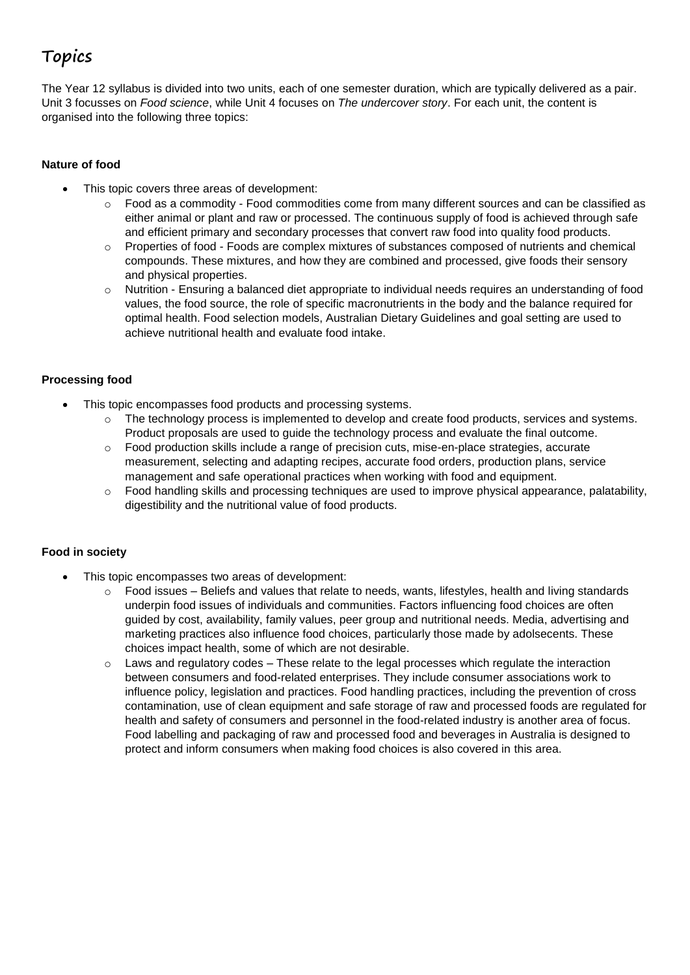## **Topics**

The Year 12 syllabus is divided into two units, each of one semester duration, which are typically delivered as a pair. Unit 3 focusses on *Food science*, while Unit 4 focuses on *The undercover story*. For each unit, the content is organised into the following three topics:

#### **Nature of food**

- This topic covers three areas of development:
	- $\circ$  Food as a commodity Food commodities come from many different sources and can be classified as either animal or plant and raw or processed. The continuous supply of food is achieved through safe and efficient primary and secondary processes that convert raw food into quality food products.
	- o Properties of food Foods are complex mixtures of substances composed of nutrients and chemical compounds. These mixtures, and how they are combined and processed, give foods their sensory and physical properties.
	- o Nutrition Ensuring a balanced diet appropriate to individual needs requires an understanding of food values, the food source, the role of specific macronutrients in the body and the balance required for optimal health. Food selection models, Australian Dietary Guidelines and goal setting are used to achieve nutritional health and evaluate food intake.

#### **Processing food**

- This topic encompasses food products and processing systems.
	- $\circ$  The technology process is implemented to develop and create food products, services and systems. Product proposals are used to guide the technology process and evaluate the final outcome.
	- o Food production skills include a range of precision cuts, mise-en-place strategies, accurate measurement, selecting and adapting recipes, accurate food orders, production plans, service management and safe operational practices when working with food and equipment.
	- $\circ$  Food handling skills and processing techniques are used to improve physical appearance, palatability, digestibility and the nutritional value of food products.

#### **Food in society**

- This topic encompasses two areas of development:
	- $\circ$  Food issues Beliefs and values that relate to needs, wants, lifestyles, health and living standards underpin food issues of individuals and communities. Factors influencing food choices are often guided by cost, availability, family values, peer group and nutritional needs. Media, advertising and marketing practices also influence food choices, particularly those made by adolsecents. These choices impact health, some of which are not desirable.
	- $\circ$  Laws and regulatory codes These relate to the legal processes which regulate the interaction between consumers and food-related enterprises. They include consumer associations work to influence policy, legislation and practices. Food handling practices, including the prevention of cross contamination, use of clean equipment and safe storage of raw and processed foods are regulated for health and safety of consumers and personnel in the food-related industry is another area of focus. Food labelling and packaging of raw and processed food and beverages in Australia is designed to protect and inform consumers when making food choices is also covered in this area.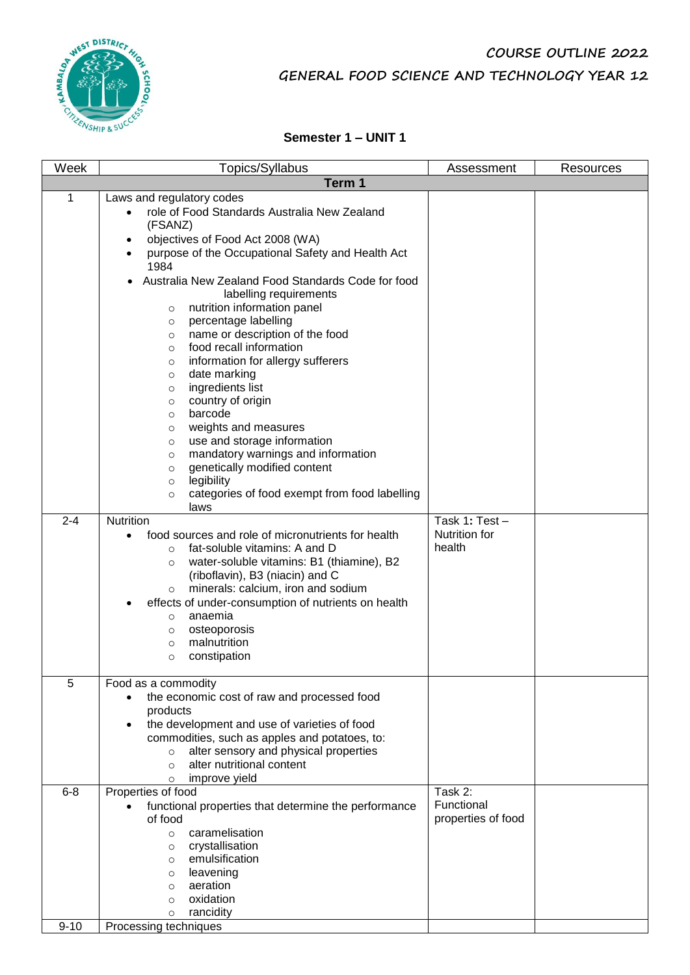

## **COURSE OUTLINE 2022 GENERAL FOOD SCIENCE AND TECHNOLOGY YEAR 12**

#### **Semester 1 – UNIT 1**

| Week                | Topics/Syllabus                                                                                                                                                                                                                                                                                                                                                                                                                                                                                                                                                                                                                                                                                                                                                                                                                                                                                                                                                                                                                                                                                                                                                                                                                                                                          | Assessment                                  | Resources |  |  |
|---------------------|------------------------------------------------------------------------------------------------------------------------------------------------------------------------------------------------------------------------------------------------------------------------------------------------------------------------------------------------------------------------------------------------------------------------------------------------------------------------------------------------------------------------------------------------------------------------------------------------------------------------------------------------------------------------------------------------------------------------------------------------------------------------------------------------------------------------------------------------------------------------------------------------------------------------------------------------------------------------------------------------------------------------------------------------------------------------------------------------------------------------------------------------------------------------------------------------------------------------------------------------------------------------------------------|---------------------------------------------|-----------|--|--|
|                     | Term 1                                                                                                                                                                                                                                                                                                                                                                                                                                                                                                                                                                                                                                                                                                                                                                                                                                                                                                                                                                                                                                                                                                                                                                                                                                                                                   |                                             |           |  |  |
| 1<br>$2 - 4$        | Laws and regulatory codes<br>role of Food Standards Australia New Zealand<br>$\bullet$<br>(FSANZ)<br>objectives of Food Act 2008 (WA)<br>٠<br>purpose of the Occupational Safety and Health Act<br>$\bullet$<br>1984<br>Australia New Zealand Food Standards Code for food<br>labelling requirements<br>nutrition information panel<br>$\circ$<br>percentage labelling<br>$\circ$<br>name or description of the food<br>$\circ$<br>food recall information<br>$\circ$<br>information for allergy sufferers<br>$\circ$<br>date marking<br>$\circ$<br>ingredients list<br>$\circ$<br>country of origin<br>$\circ$<br>barcode<br>$\circ$<br>weights and measures<br>$\circ$<br>use and storage information<br>$\circ$<br>mandatory warnings and information<br>$\circ$<br>genetically modified content<br>$\circ$<br>legibility<br>$\circ$<br>categories of food exempt from food labelling<br>$\circ$<br>laws<br>Nutrition<br>food sources and role of micronutrients for health<br>fat-soluble vitamins: A and D<br>$\circ$<br>water-soluble vitamins: B1 (thiamine), B2<br>$\circ$<br>(riboflavin), B3 (niacin) and C<br>minerals: calcium, iron and sodium<br>$\circ$<br>effects of under-consumption of nutrients on health<br>anaemia<br>O<br>osteoporosis<br>$\circ$<br>malnutrition | Task 1: Test-<br>Nutrition for<br>health    |           |  |  |
| 5                   | constipation<br>$\circ$<br>Food as a commodity<br>the economic cost of raw and processed food<br>products<br>the development and use of varieties of food<br>$\bullet$<br>commodities, such as apples and potatoes, to:<br>alter sensory and physical properties<br>$\circ$<br>alter nutritional content<br>$\circ$<br>improve yield                                                                                                                                                                                                                                                                                                                                                                                                                                                                                                                                                                                                                                                                                                                                                                                                                                                                                                                                                     |                                             |           |  |  |
| $6 - 8$<br>$9 - 10$ | $\circ$<br>Properties of food<br>functional properties that determine the performance<br>of food<br>caramelisation<br>$\circ$<br>crystallisation<br>$\circ$<br>emulsification<br>O<br>leavening<br>$\circ$<br>aeration<br>$\circ$<br>oxidation<br>$\circ$<br>rancidity<br>$\circ$<br>Processing techniques                                                                                                                                                                                                                                                                                                                                                                                                                                                                                                                                                                                                                                                                                                                                                                                                                                                                                                                                                                               | Task 2:<br>Functional<br>properties of food |           |  |  |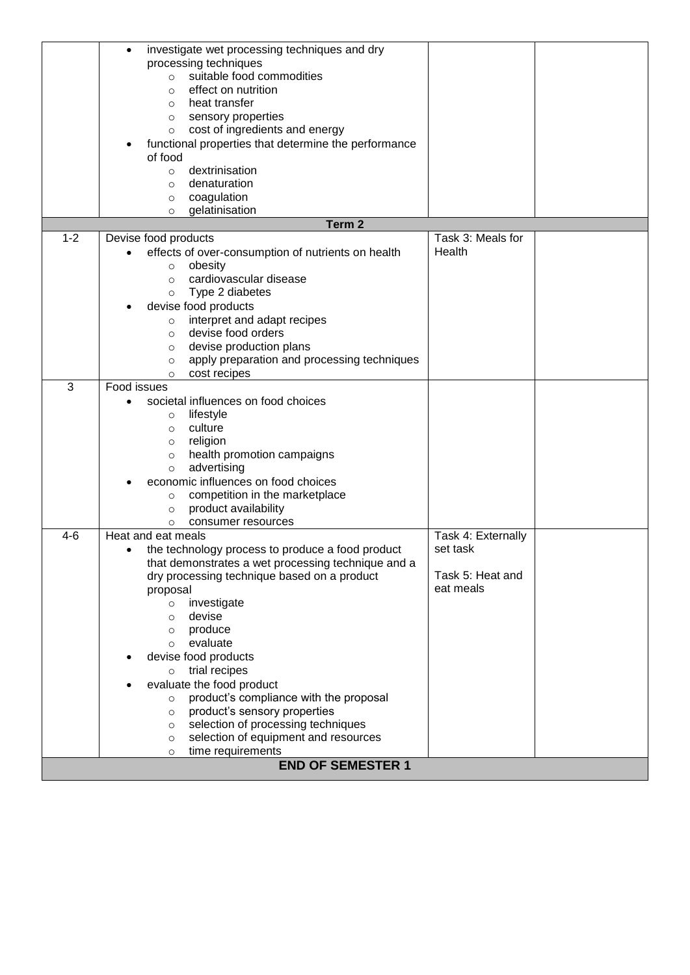|         | investigate wet processing techniques and dry          |                    |  |
|---------|--------------------------------------------------------|--------------------|--|
|         | processing techniques                                  |                    |  |
|         | suitable food commodities<br>$\circ$                   |                    |  |
|         | effect on nutrition<br>$\circ$                         |                    |  |
|         | heat transfer<br>$\circ$                               |                    |  |
|         | sensory properties<br>$\circ$                          |                    |  |
|         | cost of ingredients and energy<br>$\circ$              |                    |  |
|         | functional properties that determine the performance   |                    |  |
|         | of food                                                |                    |  |
|         | dextrinisation<br>$\circ$                              |                    |  |
|         | denaturation<br>$\circ$                                |                    |  |
|         | coagulation<br>$\circ$                                 |                    |  |
|         | gelatinisation<br>$\circ$                              |                    |  |
|         | Term <sub>2</sub>                                      |                    |  |
| $1 - 2$ | Devise food products                                   | Task 3: Meals for  |  |
|         | effects of over-consumption of nutrients on health     | Health             |  |
|         | obesity<br>$\circ$                                     |                    |  |
|         | cardiovascular disease<br>$\circ$                      |                    |  |
|         | Type 2 diabetes<br>$\circ$                             |                    |  |
|         | devise food products                                   |                    |  |
|         | interpret and adapt recipes<br>$\circ$                 |                    |  |
|         | devise food orders<br>$\circ$                          |                    |  |
|         | devise production plans<br>O                           |                    |  |
|         | apply preparation and processing techniques<br>$\circ$ |                    |  |
|         | cost recipes<br>$\circ$                                |                    |  |
| 3       | Food issues                                            |                    |  |
|         | societal influences on food choices                    |                    |  |
|         | lifestyle<br>$\circ$                                   |                    |  |
|         | culture<br>$\circ$                                     |                    |  |
|         | religion<br>$\circ$                                    |                    |  |
|         | health promotion campaigns<br>$\circ$                  |                    |  |
|         | advertising<br>$\circ$                                 |                    |  |
|         | economic influences on food choices                    |                    |  |
|         | competition in the marketplace<br>$\circ$              |                    |  |
|         | product availability<br>$\circ$                        |                    |  |
|         | consumer resources<br>O                                |                    |  |
| $4-6$   | Heat and eat meals                                     | Task 4: Externally |  |
|         | the technology process to produce a food product       | set task           |  |
|         | that demonstrates a wet processing technique and a     |                    |  |
|         | dry processing technique based on a product            | Task 5: Heat and   |  |
|         | proposal                                               | eat meals          |  |
|         | investigate<br>$\circ$                                 |                    |  |
|         | devise<br>$\circ$                                      |                    |  |
|         | produce<br>$\circ$                                     |                    |  |
|         | evaluate<br>$\circ$                                    |                    |  |
|         | devise food products                                   |                    |  |
|         | trial recipes<br>$\circ$                               |                    |  |
|         | evaluate the food product                              |                    |  |
|         | product's compliance with the proposal<br>$\circ$      |                    |  |
|         | product's sensory properties<br>$\circ$                |                    |  |
|         | selection of processing techniques<br>$\circ$          |                    |  |
|         | selection of equipment and resources<br>$\circ$        |                    |  |
|         | time requirements<br>$\circ$                           |                    |  |
|         | <b>END OF SEMESTER 1</b>                               |                    |  |
|         |                                                        |                    |  |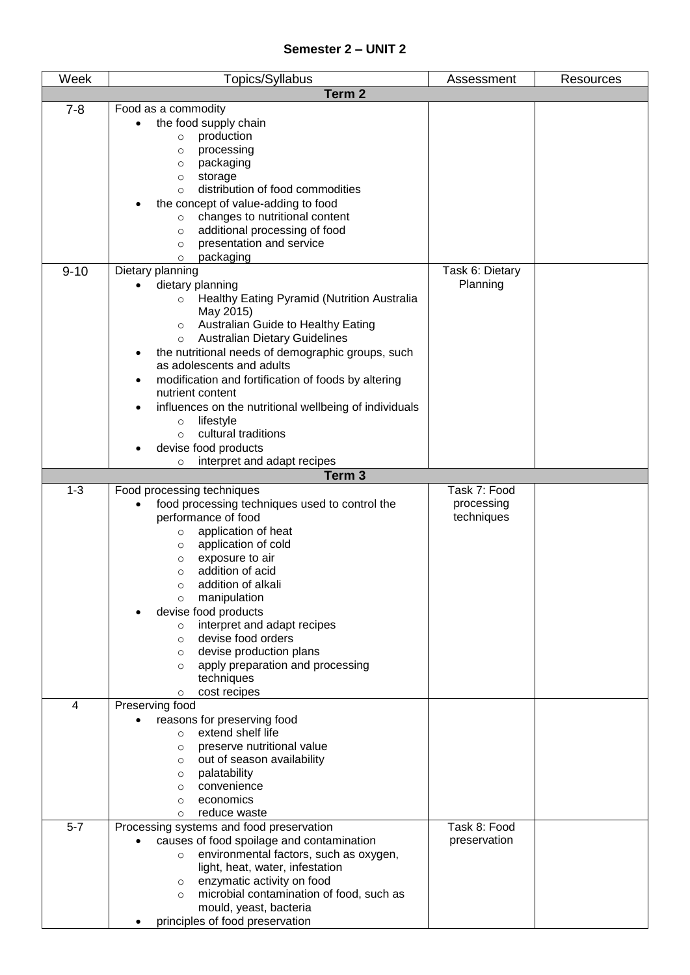### **Semester 2 – UNIT 2**

| Week           | Topics/Syllabus                                                                   | Assessment      | Resources |  |  |
|----------------|-----------------------------------------------------------------------------------|-----------------|-----------|--|--|
|                | Term <sub>2</sub>                                                                 |                 |           |  |  |
| $7 - 8$        | Food as a commodity                                                               |                 |           |  |  |
|                | the food supply chain                                                             |                 |           |  |  |
|                | production<br>$\circ$                                                             |                 |           |  |  |
|                | processing<br>$\circ$                                                             |                 |           |  |  |
|                | packaging<br>$\circ$<br>storage<br>$\circ$                                        |                 |           |  |  |
|                | distribution of food commodities<br>$\Omega$                                      |                 |           |  |  |
|                | the concept of value-adding to food                                               |                 |           |  |  |
|                | changes to nutritional content<br>$\circ$                                         |                 |           |  |  |
|                | additional processing of food<br>$\circ$                                          |                 |           |  |  |
|                | presentation and service<br>$\circ$                                               |                 |           |  |  |
|                | packaging<br>$\circ$                                                              |                 |           |  |  |
| $9 - 10$       | Dietary planning                                                                  | Task 6: Dietary |           |  |  |
|                | dietary planning                                                                  | Planning        |           |  |  |
|                | Healthy Eating Pyramid (Nutrition Australia<br>$\circ$<br>May 2015)               |                 |           |  |  |
|                | Australian Guide to Healthy Eating<br>$\circ$                                     |                 |           |  |  |
|                | <b>Australian Dietary Guidelines</b><br>$\circ$                                   |                 |           |  |  |
|                | the nutritional needs of demographic groups, such                                 |                 |           |  |  |
|                | as adolescents and adults                                                         |                 |           |  |  |
|                | modification and fortification of foods by altering                               |                 |           |  |  |
|                | nutrient content                                                                  |                 |           |  |  |
|                | influences on the nutritional wellbeing of individuals                            |                 |           |  |  |
|                | lifestyle<br>$\circ$                                                              |                 |           |  |  |
|                | cultural traditions<br>$\circ$<br>devise food products                            |                 |           |  |  |
|                | interpret and adapt recipes<br>$\circ$                                            |                 |           |  |  |
|                | Term <sub>3</sub>                                                                 |                 |           |  |  |
| $1 - 3$        | Food processing techniques                                                        | Task 7: Food    |           |  |  |
|                | food processing techniques used to control the                                    | processing      |           |  |  |
|                | performance of food                                                               | techniques      |           |  |  |
|                | application of heat<br>$\circ$                                                    |                 |           |  |  |
|                | application of cold<br>$\circ$<br>exposure to air                                 |                 |           |  |  |
|                | $\circ$<br>addition of acid<br>$\circ$                                            |                 |           |  |  |
|                | addition of alkali<br>$\bigcirc$                                                  |                 |           |  |  |
|                | manipulation<br>$\circ$                                                           |                 |           |  |  |
|                | devise food products                                                              |                 |           |  |  |
|                | interpret and adapt recipes<br>$\circ$                                            |                 |           |  |  |
|                | devise food orders<br>$\circ$                                                     |                 |           |  |  |
|                | devise production plans<br>$\circ$                                                |                 |           |  |  |
|                | apply preparation and processing<br>$\circ$<br>techniques                         |                 |           |  |  |
|                | cost recipes<br>$\circ$                                                           |                 |           |  |  |
| $\overline{4}$ | Preserving food                                                                   |                 |           |  |  |
|                | reasons for preserving food                                                       |                 |           |  |  |
|                | extend shelf life<br>$\circ$                                                      |                 |           |  |  |
|                | preserve nutritional value<br>$\circ$                                             |                 |           |  |  |
|                | out of season availability<br>$\circ$                                             |                 |           |  |  |
|                | palatability<br>$\circ$<br>convenience<br>$\circ$                                 |                 |           |  |  |
|                | economics<br>$\circ$                                                              |                 |           |  |  |
|                | reduce waste<br>$\circ$                                                           |                 |           |  |  |
| $5 - 7$        | Processing systems and food preservation                                          | Task 8: Food    |           |  |  |
|                | causes of food spoilage and contamination                                         | preservation    |           |  |  |
|                | environmental factors, such as oxygen,<br>$\circ$                                 |                 |           |  |  |
|                | light, heat, water, infestation                                                   |                 |           |  |  |
|                | enzymatic activity on food<br>$\circ$<br>microbial contamination of food, such as |                 |           |  |  |
|                | $\circ$<br>mould, yeast, bacteria                                                 |                 |           |  |  |
|                | principles of food preservation                                                   |                 |           |  |  |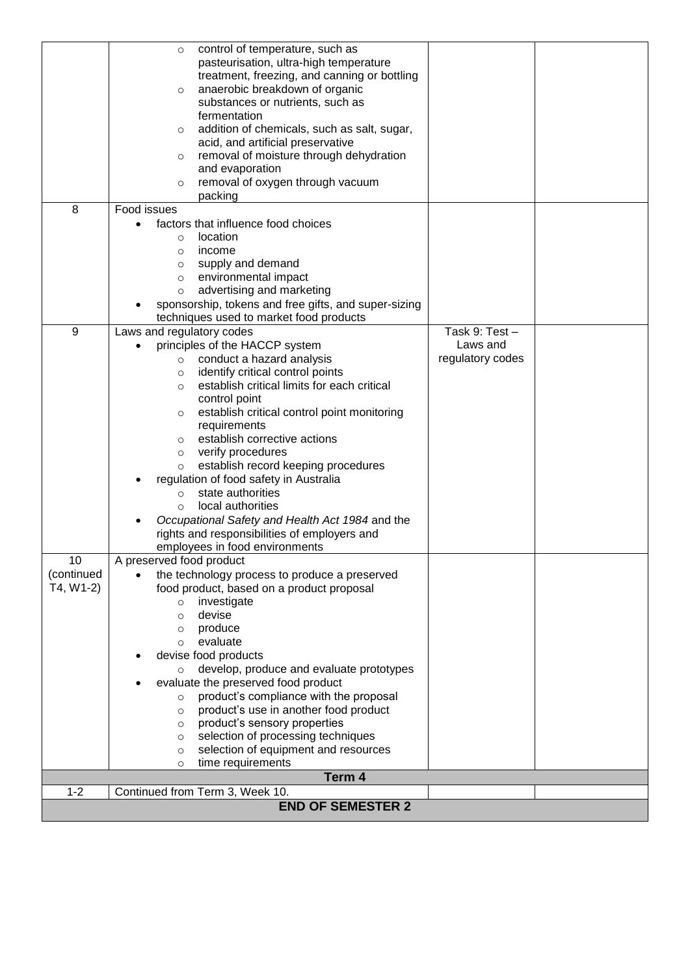|             | control of temperature, such as<br>$\circ$                                            |                  |  |
|-------------|---------------------------------------------------------------------------------------|------------------|--|
|             | pasteurisation, ultra-high temperature                                                |                  |  |
|             | treatment, freezing, and canning or bottling                                          |                  |  |
|             | anaerobic breakdown of organic<br>$\circ$                                             |                  |  |
|             | substances or nutrients, such as                                                      |                  |  |
|             | fermentation                                                                          |                  |  |
|             | addition of chemicals, such as salt, sugar,<br>O<br>acid, and artificial preservative |                  |  |
|             | removal of moisture through dehydration<br>$\circ$                                    |                  |  |
|             | and evaporation                                                                       |                  |  |
|             | removal of oxygen through vacuum<br>$\circ$                                           |                  |  |
|             | packing                                                                               |                  |  |
| 8           | Food issues                                                                           |                  |  |
|             | factors that influence food choices                                                   |                  |  |
|             | location<br>$\circ$                                                                   |                  |  |
|             | income<br>O                                                                           |                  |  |
|             | supply and demand<br>$\circ$                                                          |                  |  |
|             | environmental impact<br>$\circ$                                                       |                  |  |
|             | advertising and marketing<br>$\circ$                                                  |                  |  |
|             | sponsorship, tokens and free gifts, and super-sizing                                  |                  |  |
|             | techniques used to market food products                                               |                  |  |
| 9           | Laws and regulatory codes                                                             | Task 9: Test-    |  |
|             | principles of the HACCP system                                                        | Laws and         |  |
|             | conduct a hazard analysis<br>$\circ$                                                  | regulatory codes |  |
|             | identify critical control points<br>$\circ$                                           |                  |  |
|             | establish critical limits for each critical<br>O                                      |                  |  |
|             | control point                                                                         |                  |  |
|             | establish critical control point monitoring<br>$\circ$<br>requirements                |                  |  |
|             | establish corrective actions<br>$\circ$                                               |                  |  |
|             | verify procedures<br>$\circ$                                                          |                  |  |
|             | establish record keeping procedures<br>$\circ$                                        |                  |  |
|             | regulation of food safety in Australia                                                |                  |  |
|             | state authorities<br>$\circ$                                                          |                  |  |
|             | local authorities<br>$\Omega$                                                         |                  |  |
|             | Occupational Safety and Health Act 1984 and the                                       |                  |  |
|             | rights and responsibilities of employers and                                          |                  |  |
|             | employees in food environments                                                        |                  |  |
| 10          | A preserved food product                                                              |                  |  |
| (continued  | the technology process to produce a preserved                                         |                  |  |
| $T4, W1-2)$ | food product, based on a product proposal                                             |                  |  |
|             | investigate<br>$\circ$                                                                |                  |  |
|             | devise<br>$\circ$                                                                     |                  |  |
|             | produce<br>O                                                                          |                  |  |
|             | evaluate<br>$\circ$                                                                   |                  |  |
|             | devise food products                                                                  |                  |  |
|             | develop, produce and evaluate prototypes<br>$\circ$                                   |                  |  |
|             | evaluate the preserved food product                                                   |                  |  |
|             | product's compliance with the proposal<br>$\circ$                                     |                  |  |
|             | product's use in another food product<br>$\circ$<br>product's sensory properties      |                  |  |
|             | $\circ$<br>selection of processing techniques<br>O                                    |                  |  |
|             | selection of equipment and resources<br>$\circ$                                       |                  |  |
|             | time requirements<br>O                                                                |                  |  |
|             | Term 4                                                                                |                  |  |
| $1 - 2$     | Continued from Term 3, Week 10.                                                       |                  |  |
|             | <b>END OF SEMESTER 2</b>                                                              |                  |  |
|             |                                                                                       |                  |  |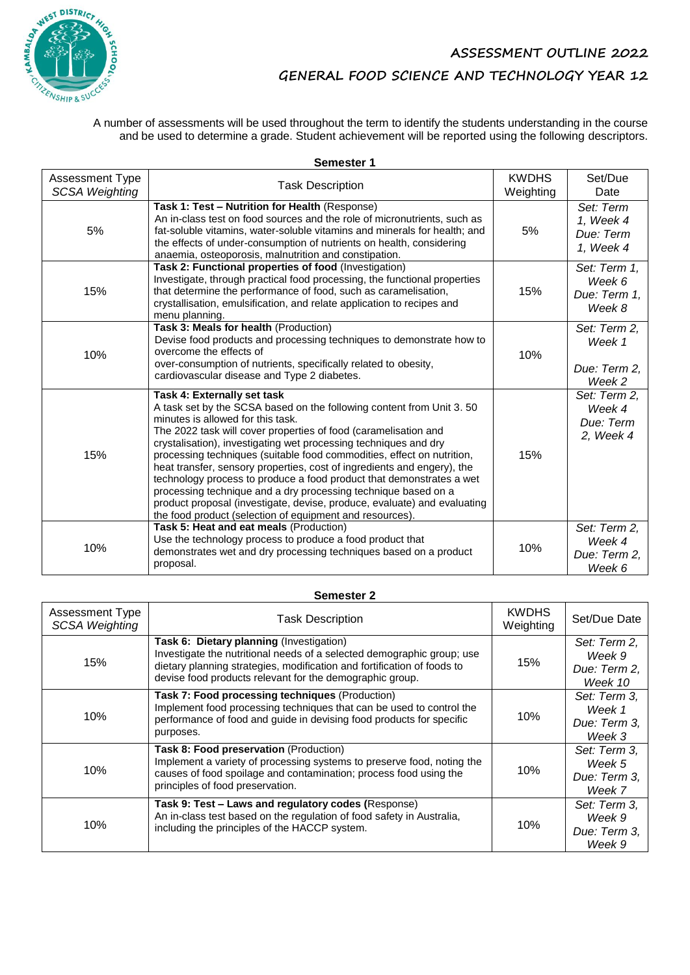

A number of assessments will be used throughout the term to identify the students understanding in the course and be used to determine a grade. Student achievement will be reported using the following descriptors.

|                                          | <b>SEINESIEL I</b>                                                                                                                                                                                                                                                                                                                                                                                                                                                                                                                                                                                                                                                                                                     |                           |                                                  |
|------------------------------------------|------------------------------------------------------------------------------------------------------------------------------------------------------------------------------------------------------------------------------------------------------------------------------------------------------------------------------------------------------------------------------------------------------------------------------------------------------------------------------------------------------------------------------------------------------------------------------------------------------------------------------------------------------------------------------------------------------------------------|---------------------------|--------------------------------------------------|
| Assessment Type<br><b>SCSA Weighting</b> | <b>Task Description</b>                                                                                                                                                                                                                                                                                                                                                                                                                                                                                                                                                                                                                                                                                                | <b>KWDHS</b><br>Weighting | Set/Due<br>Date                                  |
| 5%                                       | Task 1: Test - Nutrition for Health (Response)<br>An in-class test on food sources and the role of micronutrients, such as<br>fat-soluble vitamins, water-soluble vitamins and minerals for health; and<br>the effects of under-consumption of nutrients on health, considering<br>anaemia, osteoporosis, malnutrition and constipation.                                                                                                                                                                                                                                                                                                                                                                               | 5%                        | Set: Term<br>1, Week 4<br>Due: Term<br>1, Week 4 |
| 15%                                      | Task 2: Functional properties of food (Investigation)<br>Investigate, through practical food processing, the functional properties<br>that determine the performance of food, such as caramelisation,<br>crystallisation, emulsification, and relate application to recipes and<br>menu planning.                                                                                                                                                                                                                                                                                                                                                                                                                      | 15%                       | Set: Term 1,<br>Week 6<br>Due: Term 1.<br>Week 8 |
| 10%                                      | Task 3: Meals for health (Production)<br>Devise food products and processing techniques to demonstrate how to<br>overcome the effects of<br>over-consumption of nutrients, specifically related to obesity,<br>cardiovascular disease and Type 2 diabetes.                                                                                                                                                                                                                                                                                                                                                                                                                                                             | 10%                       | Set: Term 2,<br>Week 1<br>Due: Term 2.<br>Week 2 |
| 15%                                      | Task 4: Externally set task<br>A task set by the SCSA based on the following content from Unit 3.50<br>minutes is allowed for this task.<br>The 2022 task will cover properties of food (caramelisation and<br>crystalisation), investigating wet processing techniques and dry<br>processing techniques (suitable food commodities, effect on nutrition,<br>heat transfer, sensory properties, cost of ingredients and engery), the<br>technology process to produce a food product that demonstrates a wet<br>processing technique and a dry processing technique based on a<br>product proposal (investigate, devise, produce, evaluate) and evaluating<br>the food product (selection of equipment and resources). | 15%                       | Set: Term 2,<br>Week 4<br>Due: Term<br>2, Week 4 |
| 10%                                      | Task 5: Heat and eat meals (Production)<br>Use the technology process to produce a food product that<br>demonstrates wet and dry processing techniques based on a product<br>proposal.                                                                                                                                                                                                                                                                                                                                                                                                                                                                                                                                 | 10%                       | Set: Term 2,<br>Week 4<br>Due: Term 2,<br>Week 6 |

| Semester 2                                      |                                                                                                                                                                                                                                                           |                           |                                                   |  |
|-------------------------------------------------|-----------------------------------------------------------------------------------------------------------------------------------------------------------------------------------------------------------------------------------------------------------|---------------------------|---------------------------------------------------|--|
| <b>Assessment Type</b><br><b>SCSA Weighting</b> | <b>Task Description</b>                                                                                                                                                                                                                                   | <b>KWDHS</b><br>Weighting | Set/Due Date                                      |  |
| 15%                                             | Task 6: Dietary planning (Investigation)<br>Investigate the nutritional needs of a selected demographic group; use<br>dietary planning strategies, modification and fortification of foods to<br>devise food products relevant for the demographic group. | 15%                       | Set: Term 2,<br>Week 9<br>Due: Term 2,<br>Week 10 |  |
| 10%                                             | Task 7: Food processing techniques (Production)<br>Implement food processing techniques that can be used to control the<br>performance of food and guide in devising food products for specific<br>purposes.                                              | 10%                       | Set: Term 3,<br>Week 1<br>Due: Term 3,<br>Week 3  |  |
| 10%                                             | Task 8: Food preservation (Production)<br>Implement a variety of processing systems to preserve food, noting the<br>causes of food spoilage and contamination; process food using the<br>principles of food preservation.                                 | 10%                       | Set: Term 3.<br>Week 5<br>Due: Term 3,<br>Week 7  |  |
| 10%                                             | Task 9: Test - Laws and regulatory codes (Response)<br>An in-class test based on the regulation of food safety in Australia,<br>including the principles of the HACCP system.                                                                             | 10%                       | Set: Term 3,<br>Week 9<br>Due: Term 3,<br>Week 9  |  |

**Semester 1**